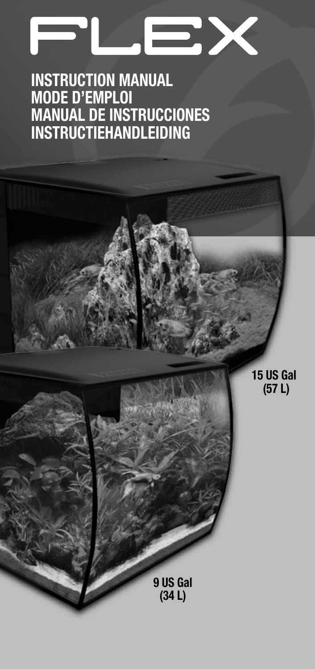# **D**

## **INSTRUCTION MANUAL MODE D'EMPLOI MANUAL DE INSTRUCCIONES INSTRUCTIEHANDLEIDING**

**15 US Gal (57 L)**

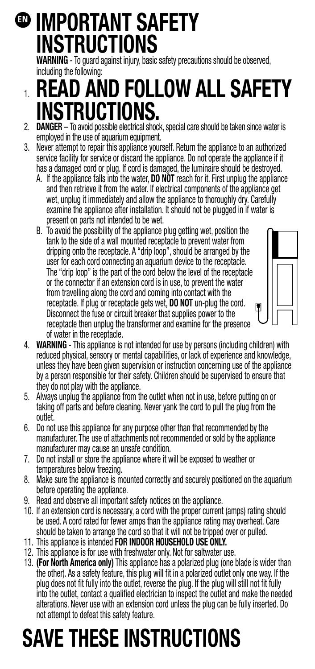## **IMPORTANT SAFETY ENINSTRUCTIONS**

**WARNING** - To guard against injury, basic safety precautions should be observed, including the following:

## 1. **READ AND FOLLOW ALL SAFETY ISTRUCTIONS.**

- 2. **DANGER** To avoid possible electrical shock, special care should be taken since water is employed in the use of aquarium equipment.
- 3. Never attempt to repair this appliance yourself. Return the appliance to an authorized service facility for service or discard the appliance. Do not operate the appliance if it has a damaged cord or plug. If cord is damaged, the luminaire should be destroyed.
	- A. If the appliance falls into the water, **DO NOT** reach for it. First unplug the appliance and then retrieve it from the water. If electrical components of the appliance get wet, unplug it immediately and allow the appliance to thoroughly dry. Carefully examine the appliance after installation. It should not be plugged in if water is present on parts not intended to be wet.
	- B. To avoid the possibility of the appliance plug getting wet, position the tank to the side of a wall mounted receptacle to prevent water from dripping onto the receptacle. A "drip loop", should be arranged by the user for each cord connecting an aquarium device to the receptacle. The "drip loop" is the part of the cord below the level of the receptacle or the connector if an extension cord is in use, to prevent the water from travelling along the cord and coming into contact with the receptacle. If plug or receptacle gets wet, **DO NOT** un-plug the cord. Disconnect the fuse or circuit breaker that supplies power to the receptacle then unplug the transformer and examine for the presence of water in the receptacle.



- 5. Always unplug the appliance from the outlet when not in use, before putting on or taking off parts and before cleaning. Never yank the cord to pull the plug from the outlet.
- 6. Do not use this appliance for any purpose other than that recommended by the manufacturer. The use of attachments not recommended or sold by the appliance manufacturer may cause an unsafe condition.
- 7. Do not install or store the appliance where it will be exposed to weather or temperatures below freezing.
- 8. Make sure the appliance is mounted correctly and securely positioned on the aquarium before operating the appliance.
- 9. Read and observe all important safety notices on the appliance.
- 10. If an extension cord is necessary, a cord with the proper current (amps) rating should be used. A cord rated for fewer amps than the appliance rating may overheat. Care should be taken to arrange the cord so that it will not be tripped over or pulled.
- 11. This appliance is intended **FOR INDOOR HOUSEHOLD USE ONLY.**
- 12. This appliance is for use with freshwater only. Not for saltwater use.
- 13. **(For North America only)** This appliance has a polarized plug (one blade is wider than the other). As a safety feature, this plug will fit in a polarized outlet only one way. If the plug does not fit fully into the outlet, reverse the plug. If the plug will still not fit fully into the outlet, contact a qualified electrician to inspect the outlet and make the needed alterations. Never use with an extension cord unless the plug can be fully inserted. Do not attempt to defeat this safety feature.

## **SAVE THESE INSTRUCTIONS**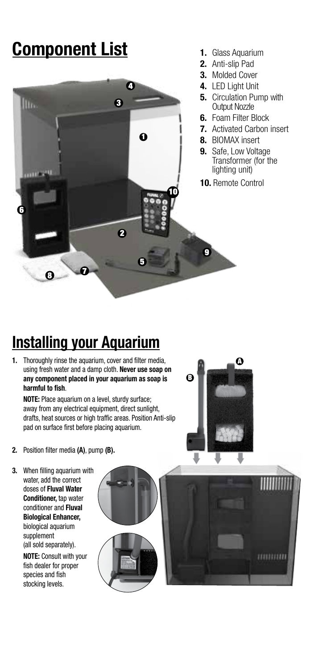## **Component List**



- **1.** Glass Aquarium
- **2.** Anti-slip Pad
- **3.** Molded Cover
- **4.** LED Light Unit
- **5.** Circulation Pump with Output Nozzle
- **6.** Foam Filter Block
- **7.** Activated Carbon insert
- **8.** BIOMAX insert
- **9.** Safe, Low Voltage Transformer (for the lighting unit)
- **10.** Remote Control

## **Installing your Aquarium**

**1.** Thoroughly rinse the aquarium, cover and filter media, using fresh water and a damp cloth. **Never use soap on any component placed in your aquarium as soap is harmful to fish**.

**NOTE:** Place aquarium on a level, sturdy surface; away from any electrical equipment, direct sunlight, drafts, heat sources or high traffic areas. Position Anti-slip pad on surface first before placing aquarium.

A B

- **2.** Position filter media **(A)**, pump **(B).**
- **3.** When filling aquarium with water, add the correct doses of **Fluval Water Conditioner,** tap water conditioner and **Fluval Biological Enhancer,** biological aquarium supplement (all sold separately).

**NOTE:** Consult with your fish dealer for proper species and fish stocking levels.

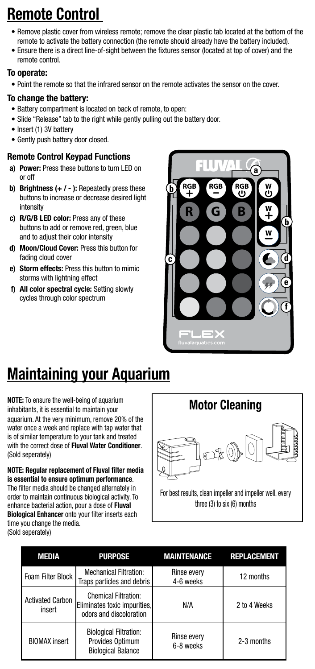## **Remote Control**

- Remove plastic cover from wireless remote; remove the clear plastic tab located at the bottom of the remote to activate the battery connection (the remote should already have the battery included).
- Ensure there is a direct line-of-sight between the fixtures sensor (located at top of cover) and the remote control.

### To operate:

• Point the remote so that the infrared sensor on the remote activates the sensor on the cover.

### To change the battery:

- Battery compartment is located on back of remote, to open:
- Slide "Release" tab to the right while gently pulling out the battery door.
- Insert (1) 3V battery
- Gently push battery door closed.

### Remote Control Keypad Functions

- a) Power: Press these buttons to turn LED on or off
- **b)** Brightness  $( + / )$ : Repeatedly press these buttons to increase or decrease desired light intensity
- c) R/G/B LED color: Press any of these buttons to add or remove red, green, blue and to adjust their color intensity
- d) Moon/Cloud Cover: Press this button for fading cloud cover
- e) Storm effects: Press this button to mimic storms with lightning effect
- f) All color spectral cycle: Setting slowly cycles through color spectrum



## **Maintaining your Aquarium**

**NOTE:** To ensure the well-being of aquarium inhabitants, it is essential to maintain your aquarium. At the very minimum, remove 20% of the water once a week and replace with tap water that is of similar temperature to your tank and treated with the correct dose of **Fluval Water Conditioner**. (Sold seperately)

**NOTE: Regular replacement of Fluval filter media is essential to ensure optimum performance**. The filter media should be changed alternately in order to maintain continuous biological activity. To enhance bacterial action, pour a dose of **Fluval Biological Enhancer** onto your filter inserts each

time you change the media. (Sold seperately)



three (3) to six (6) months

| MEDIA                             | <b>PURPOSE</b>                                                                         | <b>MAINTENANCE</b>              | <b>REPLACEMENT</b> |
|-----------------------------------|----------------------------------------------------------------------------------------|---------------------------------|--------------------|
| Foam Filter Block                 | <b>Mechanical Filtration:</b><br>Traps particles and debris                            | <b>Rinse every</b><br>4-6 weeks | 12 months          |
| <b>Activated Carbon</b><br>insert | <b>Chemical Filtration:</b><br>Eliminates toxic impurities,<br>odors and discoloration | N/A                             | 2 to 4 Weeks       |
| <b>BIOMAX</b> insert              | <b>Biological Filtration:</b><br>Provides Optimum<br><b>Biological Balance</b>         | Rinse every<br>6-8 weeks        | 2-3 months         |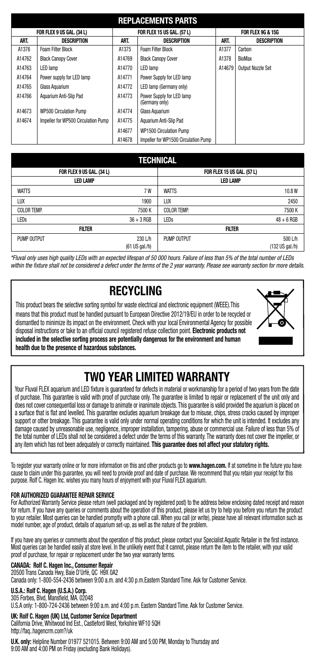|        | <b>REPLACEMENTS PARTS</b>           |        |                                             |        |                   |  |  |
|--------|-------------------------------------|--------|---------------------------------------------|--------|-------------------|--|--|
|        | FOR FLEX 9 US GAL. (34 L)           |        | FOR FLEX 15 US GAL. (57 L)                  |        | FOR FLEX 9G & 15G |  |  |
| ART.   | <b>DESCRIPTION</b>                  | ART.   | <b>DESCRIPTION</b>                          | ART.   | DESCRIPTION       |  |  |
| A1376  | Foam Filter Block                   | A1375  | Foam Filter Block                           | A1377  | Carbon            |  |  |
| A14762 | <b>Black Canopy Cover</b>           | A14769 | <b>Black Canopy Cover</b>                   | A1378  | BioMax            |  |  |
| A14763 | LED lamp                            | A14770 | LED lamp                                    | A14679 | Output Nozzle Set |  |  |
| A14764 | Power supply for LED lamp           | A14771 | Power Supply for LED lamp                   |        |                   |  |  |
| A14765 | Glass Aguarium                      | A14772 | LED lamp (Germany only)                     |        |                   |  |  |
| A14766 | Aquarium Anti-Slip Pad              | A14773 | Power Supply for LED lamp<br>(Germany only) |        |                   |  |  |
| A14673 | <b>WP500 Circulation Pump</b>       | A14774 | Glass Aguarium                              |        |                   |  |  |
| A14674 | Impeller for WP500 Circulation Pump | A14775 | Aguarium Anti-Slip Pad                      |        |                   |  |  |
|        |                                     | A14677 | WP1500 Circulation Pump                     |        |                   |  |  |
|        |                                     | A14678 | Impeller for WP1500 Circulation Pump        |        |                   |  |  |

### **TECHNICAL**

| FOR FLEX 9 US GAL. (34 L) |                  |                    | FOR FLEX 15 US GAL. (57 L) |
|---------------------------|------------------|--------------------|----------------------------|
| <b>LED LAMP</b>           |                  |                    | <b>LED LAMP</b>            |
| <b>WATTS</b>              | 7W               | <b>WATTS</b>       | 10.8W                      |
| LUX                       | 1900             | LUX                | 2450                       |
| <b>COLOR TEMP.</b>        | 7500K            | <b>COLOR TEMP.</b> | 7500 K                     |
| LEDs                      | $36 + 3$ RGB     | LEDs               | $48 + 6$ RGB               |
|                           | FILTER           |                    | <b>FILTER</b>              |
| PUMP OUTPUT               | 230 L/h          | PUMP OUTPUT        | 500 L/h                    |
|                           | $(61$ US gal./h) |                    | (132 US gal./h)            |

*\*Fluval only uses high quality LEDs with an expected lifespan of 50 000 hours. Failure of less than 5% of the total number of LEDs within the fixture shall not be considered a defect under the terms of the 2 year warranty. Please see warranty section for more details.*

### **RECYCLING**

This product bears the selective sorting symbol for waste electrical and electronic equipment (WEEE).This means that this product must be handled pursuant to European Directive 2012/19/EU in order to be recycled or dismantled to minimize its impact on the environment. Check with your local Environmental Agency for possible disposal instructions or take to an official council registered refuse collection point. **Electronic products not included in the selective sorting process are potentially dangerous for the environment and human health due to the presence of hazardous substances.**



### **TWO YEAR LIMITED WARRANTY**

Your Fluval FLEX aquarium and LED fixture is guaranteed for defects in material or workmanship for a period of two years from the date of purchase. This guarantee is valid with proof of purchase only. The guarantee is limited to repair or replacement of the unit only and does not cover consequential loss or damage to animate or inanimate objects. This quarantee is valid provided the aquarium is placed on a surface that is flat and levelled. This guarantee excludes aquarium breakage due to misuse, chips, stress cracks caused by improper support or other breakage. This guarantee is valid only under normal operating conditions for which the unit is intended. It excludes any damage caused by unreasonable use, negligence, improper installation, tampering, abuse or commercial use. Failure of less than 5% of the total number of LEDs shall not be considered a defect under the terms of this warranty. The warranty does not cover the impeller, or any item which has not been adequately or correctly maintained. **This guarantee does not affect your statutory rights.**

To register your warranty online or for more information on this and other products go to **www.hagen.com.** If at sometime in the future you have cause to claim under this guarantee, you will need to provide proof and date of purchase. We recommend that you retain your receipt for this purpose. Rolf C. Hagen Inc. wishes you many hours of enjoyment with your Fluval FLEX aquarium.

### **FOR AUTHORIZED GUARANTEE REPAIR SERVICE**

For Authorized Warranty Service please return (well packaged and by registered post) to the address below enclosing dated receipt and reason for return. If you have any queries or comments about the operation of this product, please let us try to help you before you return the product to your retailer. Most queries can be handled promptly with a phone call. When you call (or write), please have all relevant information such as model number, age of product, details of aquarium set-up, as well as the nature of the problem.

If you have any queries or comments about the operation of this product, please contact your Specialist Aquatic Retailer in the first instance. Most queries can be handled easily at store level. In the unlikely event that it cannot, please return the item to the retailer, with your valid proof of purchase, for repair or replacement under the two year warranty terms.

### **CANADA: Rolf C. Hagen Inc., Consumer Repair**

20500 Trans Canada Hwy, Baie D'Urfé, QC H9X 0A2

Canada only: 1-800-554-2436 between 9:00 a.m. and 4:30 p.m.Eastern Standard Time. Ask for Customer Service.

### **U.S.A.: Rolf C. Hagen (U.S.A.) Corp.**  305 Forbes, Blvd, Mansfield, MA. 02048

U.S.A only: 1-800-724-2436 between 9:00 a.m. and 4:00 p.m. Eastern Standard Time. Ask for Customer Service.

### **UK: Rolf C. Hagen (UK) Ltd, Customer Service Department**

California Drive, Whitwood Ind Est., Castleford West, Yorkshire WF10 5QH http://faq..hagencrm.com?/uk

**U.K. only:** Helpline Number 01977 521015. Between 9:00 AM and 5:00 PM, Monday to Thursday and 9:00 AM and 4:00 PM on Friday (excluding Bank Holidays).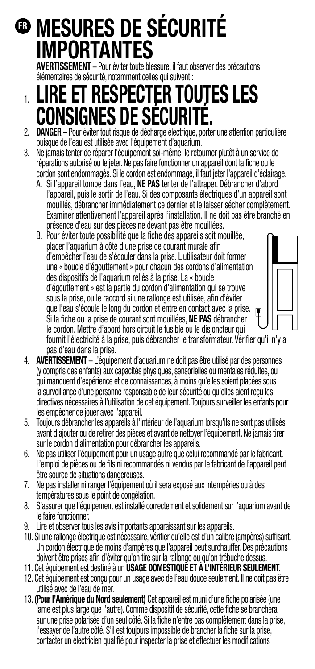## **MESURES DE SÉCURITÉ FRIMPORTANTES**

**AVERTISSEMENT** – Pour éviter toute blessure, il faut observer des précautions élémentaires de sécurité, notamment celles qui suivent :

# 1. **LIRE ET RESPECTER TOUTES LES CONSIGNES DE SÉCURITÉ.**

- 2. **DANGER** Pour éviter tout risque de décharge électrique, porter une attention particulière puisque de l'eau est utilisée avec l'équipement d'aquarium.
- 3. Ne jamais tenter de réparer l'équipement soi-même; le retourner plutôt à un service de réparations autorisé ou le jeter. Ne pas faire fonctionner un appareil dont la fiche ou le cordon sont endommagés. Si le cordon est endommagé, il faut jeter l'appareil d'éclairage.
	- A. Si l'appareil tombe dans l'eau, **NE PAS** tenter de l'attraper. Débrancher d'abord l'appareil, puis le sortir de l'eau. Si des composants électriques d'un appareil sont mouillés, débrancher immédiatement ce dernier et le laisser sécher complètement. Examiner attentivement l'appareil après l'installation. Il ne doit pas être branché en présence d'eau sur des pièces ne devant pas être mouillées.
	- B. Pour éviter toute possibilité que la fiche des appareils soit mouillée, placer l'aquarium à côté d'une prise de courant murale afin d'empêcher l'eau de s'écouler dans la prise. L'utilisateur doit former une « boucle d'égouttement » pour chacun des cordons d'alimentation des dispositifs de l'aquarium reliés à la prise. La « boucle d'égouttement » est la partie du cordon d'alimentation qui se trouve sous la prise, ou le raccord si une rallonge est utilisée, afin d'éviter que l'eau s'écoule le long du cordon et entre en contact avec la prise. Si la fiche ou la prise de courant sont mouillées, **NE PAS** débrancher le cordon. Mettre d'abord hors circuit le fusible ou le disjoncteur qui fournit l'électricité à la prise, puis débrancher le transformateur. Vérifier qu'il n'y a pas d'eau dans la prise.
- 4. **AVERTISSEMENT** L'équipement d'aquarium ne doit pas être utilisé par des personnes (y compris des enfants) aux capacités physiques, sensorielles ou mentales réduites, ou qui manquent d'expérience et de connaissances, à moins qu'elles soient placées sous la surveillance d'une personne responsable de leur sécurité ou qu'elles aient reçu les directives nécessaires à l'utilisation de cet équipement. Toujours surveiller les enfants pour les empêcher de jouer avec l'appareil.
- 5. Toujours débrancher les appareils à l'intérieur de l'aquarium lorsqu'ils ne sont pas utilisés, avant d'ajouter ou de retirer des pièces et avant de nettoyer l'équipement. Ne jamais tirer sur le cordon d'alimentation pour débrancher les appareils.
- 6. Ne pas utiliser l'équipement pour un usage autre que celui recommandé par le fabricant. L'emploi de pièces ou de fils ni recommandés ni vendus par le fabricant de l'appareil peut être source de situations dangereuses.
- 7. Ne pas installer ni ranger l'équipement où il sera exposé aux intempéries ou à des températures sous le point de congélation.
- 8. S'assurer que l'équipement est installé correctement et solidement sur l'aquarium avant de le faire fonctionner.
- 9. Lire et observer tous les avis importants apparaissant sur les appareils.
- 10. Si une rallonge électrique est nécessaire, vérifier qu'elle est d'un calibre (ampères) suffisant. Un cordon électrique de moins d'ampères que l'appareil peut surchauffer. Des précautions doivent être prises afin d'éviter qu'on tire sur la rallonge ou qu'on trébuche dessus.
- 11. Cet équipement est destiné à un **USAGE DOMESTIQUE ET À L'INTÉRIEUR SEULEMENT.**
- 12. Cet équipement est conçu pour un usage avec de l'eau douce seulement. Il ne doit pas être utilisé avec de l'eau de mer.
- 13. **(Pour l'Amérique du Nord seulement)** Cet appareil est muni d'une fiche polarisée (une lame est plus large que l'autre). Comme dispositif de sécurité, cette fiche se branchera sur une prise polarisée d'un seul côté. Si la fiche n'entre pas complètement dans la prise, l'essayer de l'autre côté. S'il est toujours impossible de brancher la fiche sur la prise, contacter un électricien qualifié pour inspecter la prise et effectuer les modifications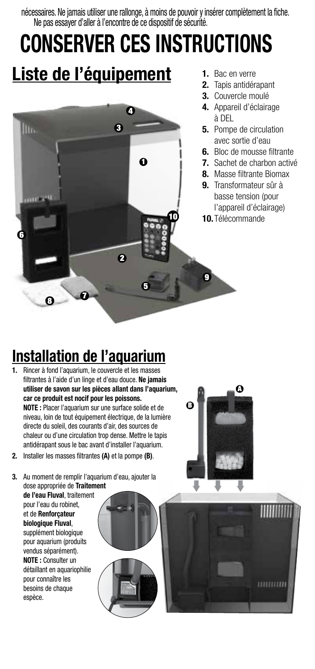nécessaires. Ne jamais utiliser une rallonge, à moins de pouvoir y insérer complètement la fiche. Ne pas essayer d'aller à l'encontre de ce dispositif de sécurité.

## **CONSERVER CES INSTRUCTIONS Liste de l'équipement 1.** Bac en verre



- **2.** Tapis antidérapant
- **3.** Couvercle moulé
- **4.** Appareil d'éclairage à DEL
- **5.** Pompe de circulation avec sortie d'eau
- **6.** Bloc de mousse filtrante
- **7.** Sachet de charbon activé
- **8.** Masse filtrante Biomax
- **9.** Transformateur sûr à basse tension (pour l'appareil d'éclairage)
- **10.** Télécommande

## **Installation de l'aquarium**

- **1.** Rincer à fond l'aquarium, le couvercle et les masses filtrantes à l'aide d'un linge et d'eau douce. **Ne jamais utiliser de savon sur les pièces allant dans l'aquarium, car ce produit est nocif pour les poissons. NOTE :** Placer l'aquarium sur une surface solide et de niveau, loin de tout équipement électrique, de la lumière directe du soleil, des courants d'air, des sources de chaleur ou d'une circulation trop dense. Mettre le tapis antidérapant sous le bac avant d'installer l'aquarium.
- **2.** Installer les masses filtrantes **(A)** et la pompe **(B)**.

**3.** Au moment de remplir l'aquarium d'eau, ajouter la dose appropriée de **Traitement** 

**de l'eau Fluval**, traitement pour l'eau du robinet, et de **Renforçateur biologique Fluval**, supplément biologique pour aquarium (produits vendus séparément). **NOTE :** Consulter un détaillant en aquariophilie pour connaître les besoins de chaque espèce.





mmmm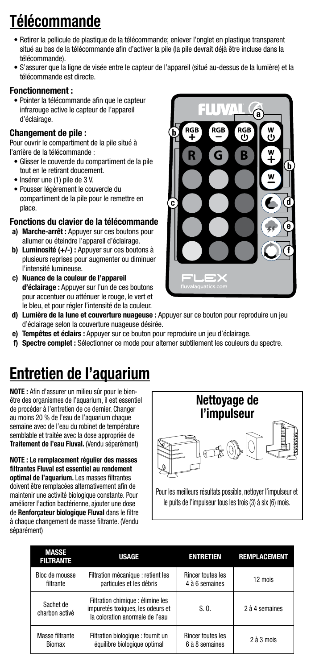## **Télécommande**

- Retirer la pellicule de plastique de la télécommande; enlever l'onglet en plastique transparent situé au bas de la télécommande afin d'activer la pile (la pile devrait déjà être incluse dans la télécommande).
- S'assurer que la ligne de visée entre le capteur de l'appareil (situé au-dessus de la lumière) et la télécommande est directe.

### Fonctionnement :

• Pointer la télécommande afin que le capteur infrarouge active le capteur de l'appareil d'éclairage.

### Changement de pile :

Pour ouvrir le compartiment de la pile situé à l'arrière de la télécommande :

- Glisser le couvercle du compartiment de la pile tout en le retirant doucement.
- Insérer une (1) pile de 3 V.
- Pousser légèrement le couvercle du compartiment de la pile pour le remettre en place.

### Fonctions du clavier de la télécommande

- a) Marche-arrêt : Appuyer sur ces boutons pour allumer ou éteindre l'appareil d'éclairage.
- b) Luminosité (+/-) : Appuyer sur ces boutons à plusieurs reprises pour augmenter ou diminuer l'intensité lumineuse.
- c) Nuance de la couleur de l'appareil d'éclairage : Appuyer sur l'un de ces boutons pour accentuer ou atténuer le rouge, le vert et le bleu, et pour régler l'intensité de la couleur.



- d) Lumière de la lune et couverture nuageuse : Appuyer sur ce bouton pour reproduire un jeu d'éclairage selon la couverture nuageuse désirée.
- e) Tempêtes et éclairs : Appuyer sur ce bouton pour reproduire un jeu d'éclairage.
- f) Spectre complet : Sélectionner ce mode pour alterner subtilement les couleurs du spectre.

## **Entretien de l'aquarium**

**NOTE :** Afin d'assurer un milieu sûr pour le bienêtre des organismes de l'aquarium, il est essentiel de procéder à l'entretien de ce dernier. Changer au moins 20 % de l'eau de l'aquarium chaque semaine avec de l'eau du robinet de température semblable et traitée avec la dose appropriée de **Traitement de l'eau Fluval.** (Vendu séparément)

**NOTE : Le remplacement régulier des masses filtrantes Fluval est essentiel au rendement optimal de l'aquarium.** Les masses filtrantes doivent être remplacées alternativement afin de maintenir une activité biologique constante. Pour améliorer l'action bactérienne, ajouter une dose de **Renforçateur biologique Fluval** dans le filtre à chaque changement de masse filtrante. (Vendu séparément)



Pour les meilleurs résultats possible, nettoyer l'impulseur et le puits de l'impulseur tous les trois (3) à six (6) mois.

| <b>MASSE</b><br><b>FILTRANTE</b> | USAGE                                                                                                     | ENTRETIEN                | <b>REMPLACEMENT</b> |
|----------------------------------|-----------------------------------------------------------------------------------------------------------|--------------------------|---------------------|
| Bloc de mousse                   | Filtration mécanique : retient les                                                                        | <b>Rincer toutes les</b> | 12 mois             |
| filtrante                        | particules et les débris                                                                                  | 4 à 6 semaines           |                     |
| Sachet de<br>charbon activé      | Filtration chimique : élimine les<br>impuretés toxiques, les odeurs et<br>la coloration anormale de l'eau | S.0.                     | 2 à 4 semaines      |
| Masse filtrante                  | Filtration biologique : fournit un                                                                        | <b>Rincer toutes les</b> | $2$ à $3$ mois      |
| Biomax                           | équilibre biologique optimal                                                                              | 6 à 8 semaines           |                     |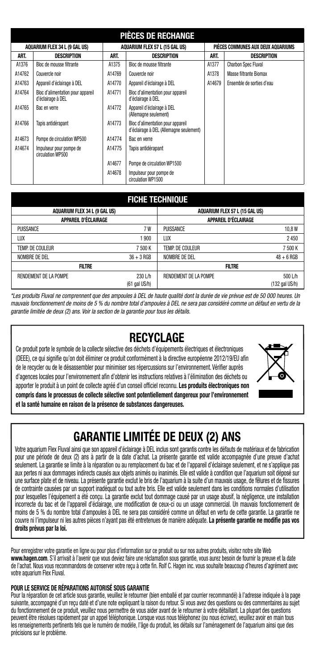|        | PIÈCES DE RECHANGE                                     |        |                                                                              |        |                                    |  |  |
|--------|--------------------------------------------------------|--------|------------------------------------------------------------------------------|--------|------------------------------------|--|--|
|        | AQUARIUM FLEX 34 L (9 GAL US)                          |        | AQUARIUM FLEX 57 L (15 GAL US)                                               |        | PIÈCES COMMUNES AUX DEUX AQUARIUMS |  |  |
| ART.   | <b>DESCRIPTION</b>                                     | ART.   | DESCRIPTION                                                                  | ART.   | DESCRIPTION                        |  |  |
| A1376  | Bloc de mousse filtrante                               | A1375  | Bloc de mousse filtrante                                                     | A1377  | <b>Charbon Spec Fluval</b>         |  |  |
| A14762 | Couvercle noir                                         | A14769 | Couvercle noir                                                               | A1378  | Masse filtrante Biomax             |  |  |
| A14763 | Appareil d'éclairage à DEL                             | A14770 | Appareil d'éclairage à DEL                                                   | A14679 | Ensemble de sorties d'eau          |  |  |
| A14764 | Bloc d'alimentation pour appareil<br>d'éclairage à DEL | A14771 | Bloc d'alimentation pour appareil<br>d'éclairage à DEL                       |        |                                    |  |  |
| A14765 | Bac en verre                                           | A14772 | Appareil d'éclairage à DEL<br>(Allemagne seulement)                          |        |                                    |  |  |
| A14766 | Tapis antidérapant                                     | A14773 | Bloc d'alimentation pour appareil<br>d'éclairage à DEL (Allemagne seulement) |        |                                    |  |  |
| A14673 | Pompe de circulation WP500                             | A14774 | Bac en verre                                                                 |        |                                    |  |  |
| A14674 | Impulseur pour pompe de<br>circulation WP500           | A14775 | Tapis antidérapant                                                           |        |                                    |  |  |
|        |                                                        | A14677 | Pompe de circulation WP1500                                                  |        |                                    |  |  |
|        |                                                        | A14678 | Impulseur pour pompe de<br>circulation WP1500                                |        |                                    |  |  |

### **FICHE TECHNIQUE**

| .                             |                            |                                |                             |  |  |
|-------------------------------|----------------------------|--------------------------------|-----------------------------|--|--|
| AQUARIUM FLEX 34 L (9 GAL US) |                            | AQUARIUM FLEX 57 L (15 GAL US) |                             |  |  |
| <b>APPAREIL D'ÉCLAIRAGE</b>   |                            | APPAREIL D'ÉCLAIRAGE           |                             |  |  |
| PUISSANCE                     | 7W                         | PUISSANCE                      | 10,8W                       |  |  |
| LUX                           | 1 900                      | LUX                            | 2450                        |  |  |
| TEMP. DE COULEUR              | 7 500 K                    | TEMP. DE COULEUR               | 7 500 K                     |  |  |
| NOMBRE DE DEL                 | $36 + 3$ RGB               | NOMBRE DE DEL                  | $48 + 6$ RGB                |  |  |
| <b>FILTRE</b>                 |                            | FILTRE                         |                             |  |  |
| <b>RENDEMENT DE LA POMPE</b>  | 230 L/h<br>$(61$ gal US/h) | <b>RENDEMENT DE LA POMPE</b>   | $500$ L/h<br>(132 gal US/h) |  |  |

*\*Les produits Fluval ne comprennent que des ampoules à DEL de haute qualité dont la durée de vie prévue est de 50 000 heures. Un mauvais fonctionnement de moins de 5 % du nombre total d'ampoules à DEL ne sera pas considéré comme un défaut en vertu de la garantie limitée de deux (2) ans. Voir la section de la garantie pour tous les détails.*

### **RECYCLAGE**

Ce produit porte le symbole de la collecte sélective des déchets d'équipements électriques et électroniques (DEEE), ce qui signifie qu'on doit éliminer ce produit conformément à la directive européenne 2012/19/EU afin de le recycler ou de le désassembler pour minimiser ses répercussions sur l'environnement. Vérifier auprès d'agences locales pour l'environnement afin d'obtenir les instructions relatives à l'élimination des déchets ou apporter le produit à un point de collecte agréé d'un conseil officiel reconnu. **Les produits électroniques non compris dans le processus de collecte sélective sont potentiellement dangereux pour l'environnement et la santé humaine en raison de la présence de substances dangereuses.**



### **GARANTIE LIMITÉE DE DEUX (2) ANS**

Votre aquarium Flex Fluval ainsi que son appareil d'éclairage à DEL inclus sont garantis contre les défauts de matériaux et de fabrication pour une période de deux (2) ans à partir de la date d'achat. La présente garantie est valide accompagnée d'une preuve d'achat seulement. La garantie se limite à la réparation ou au remplacement du bac et de l'appareil d'éclairage seulement, et ne s'applique pas aux pertes ni aux dommages indirects causés aux objets animés ou inanimés. Elle est valide à condition que l'aquarium soit déposé sur une surface plate et de niveau. La présente garantie exclut le bris de l'aquarium à la suite d'un mauvais usage, de fêlures et de fissures de contrainte causées par un support inadéquat ou tout autre bris. Elle est valide seulement dans les conditions normales d'utilisation pour lesquelles l'équipement a été conçu. La garantie exclut tout dommage causé par un usage abusif, la négligence, une installation incorrecte du bac et de l'appareil d'éclairage, une modification de ceux-ci ou un usage commercial. Un mauvais fonctionnement de moins de 5 % du nombre total d'ampoules à DEL ne sera pas considéré comme un défaut en vertu de cette garantie. La garantie ne couvre ni l'impulseur ni les autres pièces n'ayant pas été entretenues de manière adéquate. **La présente garantie ne modifie pas vos droits prévus par la loi.**

Pour enregistrer votre garantie en ligne ou pour plus d'information sur ce produit ou sur nos autres produits, visitez notre site Web **www.hagen.com**. S'il arrivait à l'avenir que vous deviez faire une réclamation sous garantie, vous aurez besoin de fournir la preuve et la date de l'achat. Nous vous recommandons de conserver votre reçu à cette fin. Rolf C. Hagen inc. vous souhaite beaucoup d'heures d'agrément avec votre aquarium Flex Fluval.

### **POUR LE SERVICE DE RÉPARATIONS AUTORISÉ SOUS GARANTIE**

Pour la réparation de cet article sous garantie, veuillez le retourner (bien emballé et par courrier recommandé) à l'adresse indiquée à la page suivante, accompagné d'un reçu daté et d'une note expliquant la raison du retour. Si vous avez des questions ou des commentaires au sujet du fonctionnement de ce produit, veuillez nous permettre de vous aider avant de le retourner à votre détaillant. La plupart des questions peuvent être résolues rapidement par un appel téléphonique. Lorsque vous nous téléphonez (ou nous écrivez), veuillez avoir en main tous les renseignements pertinents tels que le numéro de modèle, l'âge du produit, les détails sur l'aménagement de l'aquarium ainsi que des précisions sur le problème.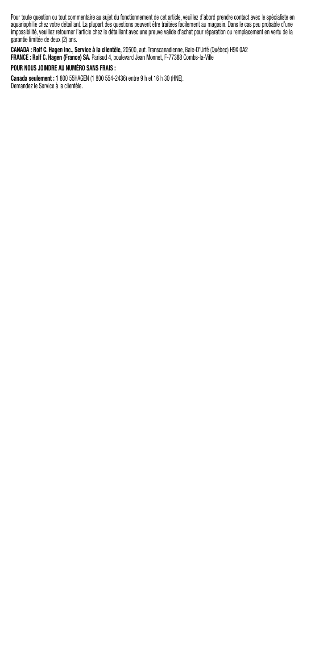Pour toute question ou tout commentaire au sujet du fonctionnement de cet article, veuillez d'abord prendre contact avec le spécialiste en aquariophile chez votre detaillant. La plupart des questions peuvent etre traitees facilement au magasin. Dans le cas peu probable d'une<br>impossibilité, veuillez retourner l'article chez le détaillant avec une preuve valide garantie limitée de deux (2) ans.

**CANADA : Rolf C. Hagen inc., Service à la clientèle,** 20500, aut. Transcanadienne, Baie-D'Urfé (Québec) H9X 0A2 **FRANCE : Rolf C. Hagen (France) SA.** Parisud 4, boulevard Jean Monnet, F-77388 Combs-la-Ville **POUR NOUS JOINDRE AU NUMÉRO SANS FRAIS :**

**Canada seulement :** 1 800 55HAGEN (1 800 554-2436) entre 9 h et 16 h 30 (HNE). Demandez le Service à la clientèle.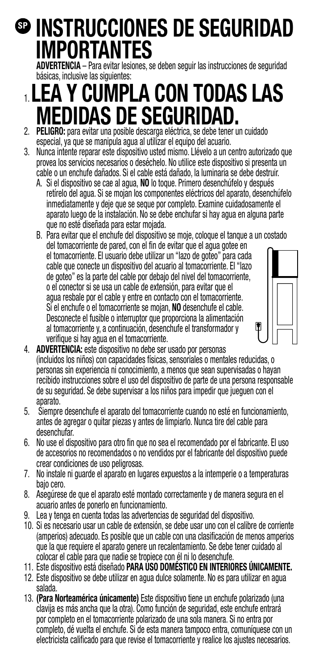## **INSTRUCCIONES DE SEGURIDAD SPIMPORTANTES**

**ADVERTENCIA** – Para evitar lesiones, se deben seguir las instrucciones de seguridad básicas, inclusive las siguientes:

## 1. **LEA Y CUMPLA CON TODAS LAS MEDIDAS DE SEGURIDAD.** 2. **PELIGRO:** para evitar una posible descarga eléctrica, se debe tener un cuidado

- especial, ya que se manipula agua al utilizar el equipo del acuario.
- 3. Nunca intente reparar este dispositivo usted mismo. Llévelo a un centro autorizado que provea los servicios necesarios o deséchelo. No utilice este dispositivo si presenta un cable o un enchufe dañados. Si el cable está dañado, la luminaria se debe destruir.
	- A. Si el dispositivo se cae al agua, **NO** lo toque. Primero desenchúfelo y después retírelo del agua. Si se mojan los componentes eléctricos del aparato, desenchúfelo inmediatamente y deje que se seque por completo. Examine cuidadosamente el aparato luego de la instalación. No se debe enchufar si hay agua en alguna parte que no esté diseñada para estar mojada.
	- B. Para evitar que el enchufe del dispositivo se moje, coloque el tanque a un costado del tomacorriente de pared, con el fin de evitar que el agua gotee en el tomacorriente. El usuario debe utilizar un "lazo de goteo" para cada cable que conecte un dispositivo del acuario al tomacorriente. El "lazo de goteo" es la parte del cable por debajo del nivel del tomacorriente, o el conector si se usa un cable de extensión, para evitar que el agua resbale por el cable y entre en contacto con el tomacorriente. Si el enchufe o el tomacorriente se mojan, **NO** desenchufe el cable. Desconecte el fusible o interruptor que proporciona la alimentación al tomacorriente y, a continuación, desenchufe el transformador y verifique si hay agua en el tomacorriente.



- 4. **ADVERTENCIA:** este dispositivo no debe ser usado por personas (incluidos los niños) con capacidades físicas, sensoriales o mentales reducidas, o personas sin experiencia ni conocimiento, a menos que sean supervisadas o hayan recibido instrucciones sobre el uso del dispositivo de parte de una persona responsable de su seguridad. Se debe supervisar a los niños para impedir que jueguen con el aparato.
- 5. Siempre desenchufe el aparato del tomacorriente cuando no esté en funcionamiento, antes de agregar o quitar piezas y antes de limpiarlo. Nunca tire del cable para desenchufar.
- 6. No use el dispositivo para otro fin que no sea el recomendado por el fabricante. El uso de accesorios no recomendados o no vendidos por el fabricante del dispositivo puede crear condiciones de uso peligrosas.
- 7. No instale ni guarde el aparato en lugares expuestos a la intemperie o a temperaturas bajo cero.
- 8. Asegúrese de que el aparato esté montado correctamente y de manera segura en el acuario antes de ponerlo en funcionamiento.
- 9. Lea y tenga en cuenta todas las advertencias de seguridad del dispositivo.
- 10. Si es necesario usar un cable de extensión, se debe usar uno con el calibre de corriente (amperios) adecuado. Es posible que un cable con una clasificación de menos amperios que la que requiere el aparato genere un recalentamiento. Se debe tener cuidado al colocar el cable para que nadie se tropiece con él ni lo desenchufe.
- 11. Este dispositivo está diseñado **PARA USO DOMÉSTICO EN INTERIORES ÚNICAMENTE.**
- 12. Este dispositivo se debe utilizar en agua dulce solamente. No es para utilizar en agua salada.
- 13. **(Para Norteamérica únicamente)** Este dispositivo tiene un enchufe polarizado (una clavija es más ancha que la otra). Como función de seguridad, este enchufe entrará por completo en el tomacorriente polarizado de una sola manera. Si no entra por completo, dé vuelta el enchufe. Si de esta manera tampoco entra, comuníquese con un electricista calificado para que revise el tomacorriente y realice los ajustes necesarios.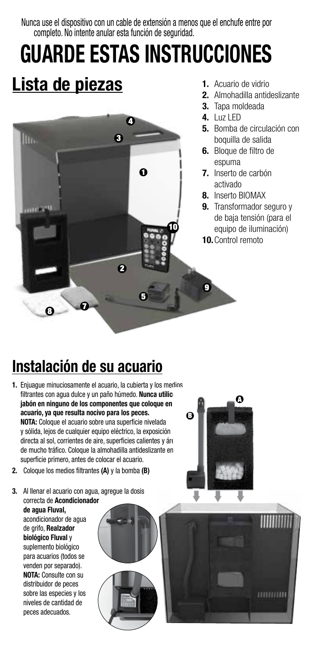Nunca use el dispositivo con un cable de extensión a menos que el enchufe entre por completo. No intente anular esta función de seguridad.

# **GUARDE ESTAS INSTRUCCIONES**

## **Lista de piezas**



- **1.** Acuario de vidrio
- **2.** Almohadilla antideslizante
- **3.** Tapa moldeada
- **4.** Luz LED
- **5.** Bomba de circulación con boquilla de salida
- **6.** Bloque de filtro de espuma
- **7.** Inserto de carbón activado
- **8.** Inserto BIOMAX
- **9.** Transformador seguro y de baja tensión (para el equipo de iluminación)
- **10.**Control remoto

## **Instalación de su acuario**

- **1.** Enjuague minuciosamente el acuario, la cubierta y los medios filtrantes con agua dulce y un paño húmedo. **Nunca utilic** jabón en ninguno de los componentes que coloque en **acuario, ya que resulta nocivo para los peces. NOTA:** Coloque el acuario sobre una superficie nivelada y sólida, lejos de cualquier equipo eléctrico, la exposición directa al sol, corrientes de aire, superficies calientes y áreas de mucho tráfico. Coloque la almohadilla antideslizante en superficie primero, antes de colocar el acuario.
- **2.** Coloque los medios filtrantes **(A)** y la bomba **(B)**

**3.** Al llenar el acuario con agua, agregue la dosis correcta de **Acondicionador** 

**de agua Fluval,** acondicionador de agua de grifo, **Realzador biológico Fluval** y suplemento biológico para acuarios (todos se venden por separado). **NOTA:** Consulte con su distribuidor de peces sobre las especies y los niveles de cantidad de peces adecuados.





mmum

A

 $\boldsymbol{\Omega}$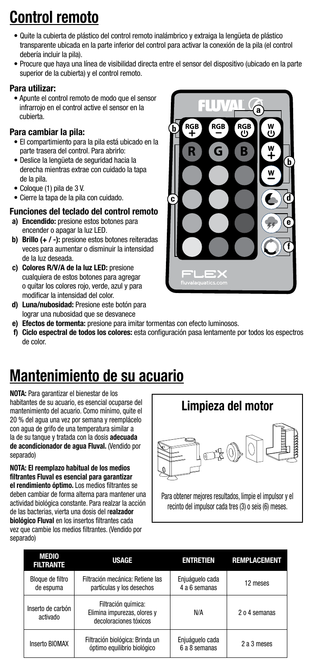## **Control remoto**

- Quite la cubierta de plástico del control remoto inalámbrico y extraiga la lengüeta de plástico transparente ubicada en la parte inferior del control para activar la conexión de la pila (el control debería incluir la pila).
- Procure que haya una línea de visibilidad directa entre el sensor del dispositivo (ubicado en la parte superior de la cubierta) y el control remoto.

### Para utilizar:

• Apunte el control remoto de modo que el sensor infrarrojo en el control active el sensor en la cubierta.

### Para cambiar la pila:

- El compartimiento para la pila está ubicado en la parte trasera del control. Para abrirlo:
- Deslice la lengüeta de seguridad hacia la derecha mientras extrae con cuidado la tapa de la pila.
- Coloque (1) pila de 3 V.
- Cierre la tapa de la pila con cuidado.

### Funciones del teclado del control remoto

- a) Encendido: presione estos botones para encender o apagar la luz LED.
- b) Brillo (+ / -): presione estos botones reiteradas veces para aumentar o disminuir la intensidad de la luz deseada.
- c) Colores R/V/A de la luz LED: presione cualquiera de estos botones para agregar o quitar los colores rojo, verde, azul y para modificar la intensidad del color.
- d) Luna/nubosidad: Presione este botón para lograr una nubosidad que se desvanece



- e) Efectos de tormenta: presione para imitar tormentas con efecto luminosos.
- f) Ciclo espectral de todos los colores: esta configuración pasa lentamente por todos los espectros de color.

## **Mantenimiento de su acuario**

**NOTA:** Para garantizar el bienestar de los habitantes de su acuario, es esencial ocuparse del mantenimiento del acuario. Como mínimo, quite el 20 % del agua una vez por semana y reemplácelo con agua de grifo de una temperatura similar a la de su tanque y tratada con la dosis **adecuada de acondicionador de agua Fluval.** (Vendido por separado)

**NOTA: El reemplazo habitual de los medios filtrantes Fluval es esencial para garantizar el rendimiento óptimo.** Los medios filtrantes se deben cambiar de forma alterna para mantener una actividad biológica constante. Para realzar la acción de las bacterias, vierta una dosis del r**ealzador biológico Fluval** en los insertos filtrantes cada vez que cambie los medios filtrantes. (Vendido por separado)



Para obtener mejores resultados, limpie el impulsor y el recinto del impulsor cada tres (3) o seis (6) meses.

| <b>MEDIO</b><br><b>FILTRANTE</b> | <b>USAGE</b>                                                                 | <b>ENTRETIEN</b>                 | <b>REMPLACEMENT</b> |
|----------------------------------|------------------------------------------------------------------------------|----------------------------------|---------------------|
| Bloque de filtro<br>de espuma    | Filtración mecánica: Retiene las<br>partículas y los desechos                | Enjuáquelo cada<br>4 a 6 semanas | 12 meses            |
| Inserto de carbón<br>activado    | Filtración química:<br>Elimina impurezas, olores v<br>decoloraciones tóxicos | N/A                              | 2 o 4 semanas       |
| Inserto BIOMAX                   | Filtración biológica: Brinda un<br>óptimo equilibrio biológico               | Enjuáguelo cada<br>6 a 8 semanas | 2 a 3 meses         |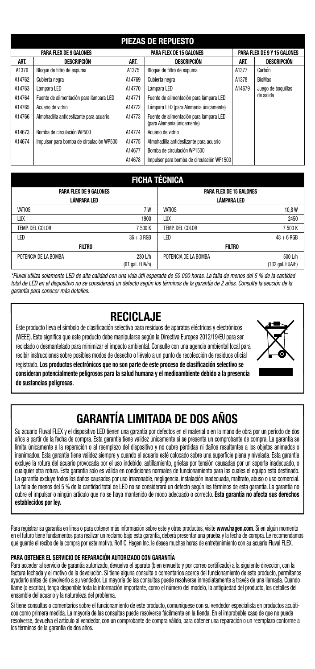|        | <b>PIEZAS DE REPUESTO</b>                |        |                                                                       |        |                             |  |
|--------|------------------------------------------|--------|-----------------------------------------------------------------------|--------|-----------------------------|--|
|        | <b>PARA FLEX DE 9 GALONES</b>            |        | <b>PARA FLEX DE 15 GALONES</b>                                        |        | PARA FLEX DE 9 Y 15 GALONES |  |
| ART.   | <b>DESCRIPCIÓN</b>                       | ART.   | <b>DESCRIPCIÓN</b>                                                    | ART.   | <b>DESCRIPCIÓN</b>          |  |
| A1376  | Bloque de filtro de espuma               | A1375  | Bloque de filtro de espuma                                            | A1377  | Carbón                      |  |
| A14762 | Cubierta neora                           | A14769 | Cubierta neora                                                        | A1378  | <b>BioMax</b>               |  |
| A14763 | Lámpara LED                              | A14770 | Lámpara LED                                                           | A14679 | Juego de boquillas          |  |
| A14764 | Fuente de alimentación para lámpara LED  | A14771 | Fuente de alimentación para lámpara LED                               |        | de salida                   |  |
| A14765 | Acuario de vidrio                        | A14772 | Lámpara LED (para Alemania únicamente)                                |        |                             |  |
| A14766 | Almohadilla antideslizante para acuario  | A14773 | Fuente de alimentación para lámpara LED<br>(para Alemania únicamente) |        |                             |  |
| A14673 | Bomba de circulación WP500               | A14774 | Acuario de vidrio                                                     |        |                             |  |
| A14674 | Impulsor para bomba de circulación WP500 | A14775 | Almohadilla antideslizante para acuario                               |        |                             |  |
|        |                                          | A14677 | Bomba de circulación WP1500                                           |        |                             |  |
|        |                                          | A14678 | Impulsor para bomba de circulación WP1500                             |        |                             |  |

### **FICHA TÉCNICA**

| <b>PARA FLEX DE 9 GALONES</b> |                      |                                                                            |
|-------------------------------|----------------------|----------------------------------------------------------------------------|
|                               |                      |                                                                            |
| 7W                            | <b>VATIOS</b>        | 10,8W                                                                      |
| 1900                          | LUX                  | 2450                                                                       |
| 7 500 K                       | TEMP. DEL COLOR      | 7 500 K                                                                    |
| $36 + 3$ RGB                  | LED                  | $48 + 6$ RGB                                                               |
|                               |                      |                                                                            |
| 230 L/h                       | POTENCIA DE LA BOMBA | 500 L/h<br>(132 gal, EUA/h)                                                |
|                               |                      | PARA FLEX DE 15 GALONES<br>LÁMPARA LED<br><b>FILTRO</b><br>(61 gal. EUA/h) |

*\*Fluval utiliza solamente LED de alta calidad con una vida útil esperada de 50 000 horas. La falla de menos del 5 % de la cantidad total de LED en el dispositivo no se considerará un defecto según los términos de la garantía de 2 años. Consulte la sección de la garantía para conocer más detalles.*

### **RECICLAJE**

Este producto lleva el símbolo de clasificación selectiva para residuos de aparatos eléctricos y electrónicos (WEEE). Esto significa que este producto debe manipularse según la Directiva Europea 2012/19/EU para ser reciclado o desmantelado para minimizar el impacto ambiental. Consulte con una agencia ambiental local para recibir instrucciones sobre posibles modos de desecho o llévelo a un punto de recolección de residuos oficial registrado. **Los productos electrónicos que no son parte de este proceso de clasificación selectivo se consideran potencialmente peligrosos para la salud humana y el medioambiente debido a la presencia de sustancias peligrosas.**



## **GARANTÍA LIMITADA DE DOS AÑOS**

Su acuario Fluval FLEX y el dispositivo LED tienen una garantía por defectos en el material o en la mano de obra por un período de dos años a partir de la fecha de compra. Esta garantía tiene validez únicamente si se presenta un comprobante de compra. La garantía se limita únicamente a la reparación o al reemplazo del dispositivo y no cubre pérdidas ni daños resultantes a los objetos animados o inanimados. Esta garantía tiene validez siempre y cuando el acuario esté colocado sobre una superficie plana y nivelada. Esta garantía excluye la rotura del acuario provocada por el uso indebido, astillamiento, grietas por tensión causadas por un soporte inadecuado, o cualquier otra rotura. Esta garantía solo es válida en condiciones normales de funcionamiento para las cuales el equipo está destinado. La garantía excluye todos los daños causados por uso irrazonable, negligencia, instalación inadecuada, maltrato, abuso o uso comercial. La falla de menos del 5 % de la cantidad total de LED no se considerará un defecto según los términos de esta garantía. La garantía no cubre el impulsor o ningún artículo que no se haya mantenido de modo adecuado o correcto. **Esta garantía no afecta sus derechos establecidos por ley.**

Para registrar su garantía en línea o para obtener más información sobre este y otros productos, visite **www.hagen.com**. Si en algún momento en el futuro tiene fundamentos para realizar un reclamo bajo esta garantía, deberá presentar una prueba y la fecha de compra. Le recomendamos que guarde el recibo de la compra por este motivo. Rolf C. Hagen Inc. le desea muchas horas de entretenimiento con su acuario Fluval FLEX.

### **PARA OBTENER EL SERVICIO DE REPARACIÓN AUTORIZADO CON GARANTÍA**

Para acceder al servicio de garantía autorizado, devuelva el aparato (bien envuelto y por correo certificado) a la siguiente dirección, con la factura fechada y el motivo de la devolución. Si tiene alguna consulta o comentarios acerca del funcionamiento de este producto, permítanos ayudarlo antes de devolverlo a su vendedor. La mayoría de las consultas puede resolverse inmediatamente a través de una llamada. Cuando llame (o escriba), tenga disponible toda la información importante, como el número del modelo, la antigüedad del producto, los detalles del ensamble del acuario y la naturaleza del problema.

Si tiene consultas o comentarios sobre el funcionamiento de este producto, comuníquese con su vendedor especialista en productos acuáticos como primera medida. La mayoría de las consultas puede resolverse fácilmente en la tienda. En el improbable caso de que no pueda resolverse, devuelva el artículo al vendedor, con un comprobante de compra válido, para obtener una reparación o un reemplazo conforme a los términos de la garantía de dos años.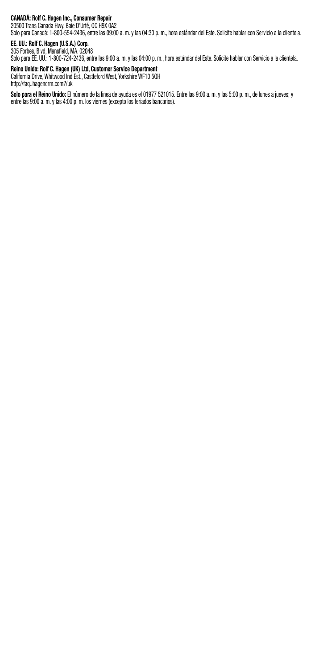C**ANADA: Roit C. Hagen Inc., Consumer Repair**<br>20500 Trans Canada Hwy, Baie D'Urié, QC H9X 0A2<br>Solo para Canadá: 1-800-554-2436, entre las 09:00 a. m. y las 04:30 p. m., hora estándar del Este. Solicite hablar con Servicio

### **EE. UU.: Rolf C. Hagen (U.S.A.) Corp.** 305 Forbes, Blvd, Mansfield, MA. 02048

Solo para EE. UU.: 1-800-724-2436, entre las 9:00 a. m. y las 04:00 p. m., hora estándar del Este. Solicite hablar con Servicio a la clientela.

**Reino Unido: Rolf C. Hagen (UK) Ltd, Customer Service Department** California Drive, Whitwood Ind Est., Castleford West, Yorkshire WF10 5QH

http://faq..hagencrm.com?/uk

**Solo para el Reino Unido:** El número de la línea de ayuda es el 01977 521015. Entre las 9:00 a. m. y las 5:00 p. m., de lunes a jueves; y entre las 9:00 a. m. y las 4:00 p. m. los viernes (excepto los feriados bancarios).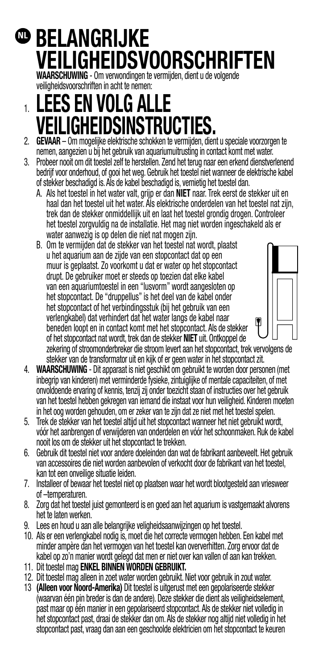## $\mathbf{\Phi}$  **belangrijke VEILIGHEIDSVOORSCHRIFTEN**

**WAARSCHUWING** - Om verwondingen te vermijden, dient u de volgende veiligheidsvoorschriften in acht te nemen:

## 1. **LEES EN VOLG ALLE VEILIGHEIDSINSTRUCTIES.**

- 2. **GEVAAR** Om mogelijke elektrische schokken te vermijden, dient u speciale voorzorgen te nemen, aangezien u bij het gebruik van aquariumuitrusting in contact komt met water.
- 3. Probeer nooit om dit toestel zelf te herstellen. Zend het terug naar een erkend dienstverlenend bedrijf voor onderhoud, of gooi het weg. Gebruik het toestel niet wanneer de elektrische kabel of stekker beschadigd is. Als de kabel beschadigd is, vernietig het toestel dan.
	- A. Als het toestel in het water valt, grijp er dan **NIET** naar. Trek eerst de stekker uit en haal dan het toestel uit het water. Als elektrische onderdelen van het toestel nat zijn, trek dan de stekker onmiddellijk uit en laat het toestel grondig drogen. Controleer het toestel zorgvuldig na de installatie. Het mag niet worden ingeschakeld als er water aanwezig is op delen die niet nat mogen zijn.
	- B. Om te vermijden dat de stekker van het toestel nat wordt, plaatst u het aquarium aan de zijde van een stopcontact dat op een muur is geplaatst. Zo voorkomt u dat er water op het stopcontact drupt. De gebruiker moet er steeds op toezien dat elke kabel van een aquariumtoestel in een "lusvorm" wordt aangesloten op het stopcontact. De "druppellus" is het deel van de kabel onder het stopcontact of het verbindingsstuk (bij het gebruik van een verlengkabel) dat verhindert dat het water langs de kabel naar beneden loopt en in contact komt met het stopcontact. Als de stekker of het stopcontact nat wordt, trek dan de stekker **NIET** uit. Ontkoppel de zekering of stroomonderbreker die stroom levert aan het stopcontact, trek vervolgens de stekker van de transformator uit en kijk of er geen water in het stopcontact zit.
- 4. **WAARSCHUWING** Dit apparaat is niet geschikt om gebruikt te worden door personen (met inbegrip van kinderen) met verminderde fysieke, zintuiglijke of mentale capaciteiten, of met onvoldoende ervaring of kennis, tenzij zij onder toezicht staan of instructies over het gebruik van het toestel hebben gekregen van iemand die instaat voor hun veiligheid. Kinderen moeten in het oog worden gehouden, om er zeker van te zijn dat ze niet met het toestel spelen.
- 5. Trek de stekker van het toestel altijd uit het stopcontact wanneer het niet gebruikt wordt, vóór het aanbrengen of verwijderen van onderdelen en vóór het schoonmaken. Ruk de kabel nooit los om de stekker uit het stopcontact te trekken.
- 6. Gebruik dit toestel niet voor andere doeleinden dan wat de fabrikant aanbeveelt. Het gebruik van accessoires die niet worden aanbevolen of verkocht door de fabrikant van het toestel, kan tot een onveilige situatie leiden.
- 7. Installeer of bewaar het toestel niet op plaatsen waar het wordt blootgesteld aan vriesweer of –temperaturen.
- 8. Zorg dat het toestel juist gemonteerd is en goed aan het aquarium is vastgemaakt alvorens het te laten werken.
- 9. Lees en houd u aan alle belangrijke veligheidsaanwijzingen op het toestel.
- 10. Als er een verlengkabel nodig is, moet die het correcte vermogen hebben. Een kabel met minder ampère dan het vermogen van het toestel kan oververhitten. Zorg ervoor dat de kabel op zo'n manier wordt gelegd dat men er niet over kan vallen of aan kan trekken.
- 11. Dit toestel mag **ENKEL BINNEN WORDEN GEBRUIKT.**
- 12. Dit toestel mag alleen in zoet water worden gebruikt. Niet voor gebruik in zout water.
- 13 **(Alleen voor Noord-Amerika)** Dit toestel is uitgerust met een gepolariseerde stekker (waarvan één pin breder is dan de andere). Deze stekker die dient als veiligheidselement, past maar op één manier in een gepolariseerd stopcontact. Als de stekker niet volledig in het stopcontact past, draai de stekker dan om. Als de stekker nog altijd niet volledig in het stopcontact past, vraag dan aan een geschoolde elektricien om het stopcontact te keuren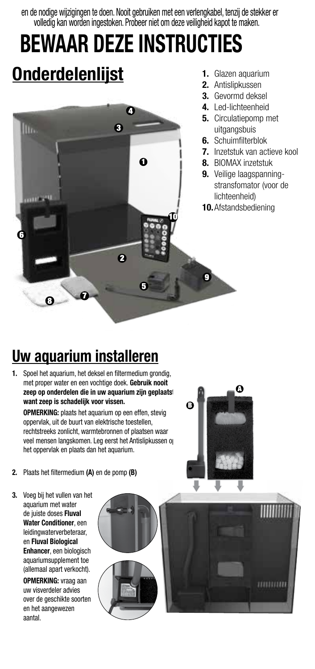en de nodige wijzigingen te doen. Nooit gebruiken met een verlengkabel, tenzij de stekker er volledig kan worden ingestoken. Probeer niet om deze veiligheid kapot te maken.

## **BEWAAR DEZE INSTRUCTIES Onderdelenlijst**



- **1.** Glazen aquarium
- **2.** Antislipkussen
- **3.** Gevormd deksel
- **4.** Led-lichteenheid
- **5.** Circulatiepomp met uitgangsbuis
- **6.** Schuimfilterblok
- **7.** Inzetstuk van actieve kool
- **8.** BIOMAX inzetstuk
- **9.** Veilige laagspanningstransfomator (voor de lichteenheid)
- **10.**Afstandsbediening

## **Uw aquarium installeren**

**1.** Spoel het aquarium, het deksel en filtermedium grondig, met proper water en een vochtige doek. **Gebruik nooit**  zeep op onderdelen die in uw aquarium zijn geplaatst **want zeep is schadelijk voor vissen.**

**OPMERKING:** plaats het aquarium op een effen, stevig oppervlak, uit de buurt van elektrische toestellen, rechtstreeks zonlicht, warmtebronnen of plaatsen waar veel mensen langskomen. Leg eerst het Antislipkussen op het oppervlak en plaats dan het aquarium.



- **2.** Plaats het filtermedium **(A)** en de pomp **(B)**
- **3.** Voeg bij het vullen van het aquarium met water de juiste doses **Fluval Water Conditioner**, een leidingwaterverbeteraar, en **Fluval Biological Enhancer**, een biologisch aquariumsupplement toe (allemaal apart verkocht).

**OPMERKING:** vraag aan uw visverdeler advies over de geschikte soorten en het aangewezen aantal.

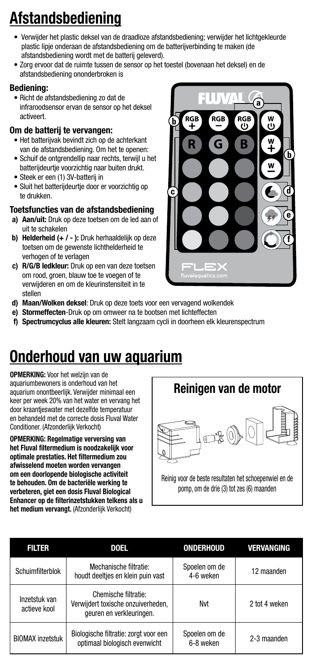## **Afstandsbediening**

- Verwijder het plastic deksel van de draadloze afstandsbediening; verwijder het lichtgekleurde plastic lipje onderaan de afstandsbediening om de batterijverbinding te maken (de afstandsbediening wordt met de batterij geleverd).
- Zorg ervoor dat de ruimte tussen de sensor op het toestel (bovenaan het deksel) en de afstandsbediening ononderbroken is

### Bediening:

• Richt de afstandsbediening zo dat de infraroodsensor ervan de sensor op het deksel activeert.

### Om de batterij te vervangen:

- Het batterijvak bevindt zich op de achterkant van de afstandsbediening. Om het te openen:
- Schuif de ontgrendellip naar rechts, terwijl u het batterijdeurtje voorzichtig naar buiten drukt.
- Steek er een (1) 3V-batterij in
- Sluit het batterijdeurtje door er voorzichtig op te drukken.

### Toetsfuncties van de afstandsbediening

- a) Aan/uit: Druk op deze toetsen om de led aan of uit te schakelen
- b) Helderheid (+ / ): Druk herhaaldelijk op deze toetsen om de gewenste lichthelderheid te verhogen of te verlagen
- c) R/G/B ledkleur: Druk op een van deze toetsen om rood, groen, blauw toe te voegen of te verwijderen en om de kleurinstensiteit in te stellen



- d) Maan/Wolken deksel: Druk op deze toets voor een vervagend wolkendek
- e) Stormeffecten-Druk op om omweer na te bootsen met lichteffecten
- f) Spectrumcyclus alle kleuren: Stelt langzaam cycli in doorheen elk kleurenspectrum

## **Onderhoud van uw aquarium**

**OPMERKING:** Voor het welzijn van de aquariumbewoners is onderhoud van het aquarium onontbeerlijk. Verwijder minimaal een keer per week 20% van het water en vervang het door kraantjeswater met dezelfde temperatuur en behandeld met de correcte dosis Fluval Water Conditioner. (Afzonderlijk Verkocht)

**OPMERKING: Regelmatige verversing van het Fluval filtermedium is noodzakelijk voor optimale prestaties. Het filtermedium zou afwisselend moeten worden vervangen om een doorlopende biologische activiteit te behouden. Om de bacteriële werking te verbeteren, giet een dosis Fluval Biological Enhancer op de filterinzetstukken telkens als u het medium vervangt.** (Afzonderlijk Verkocht)



Reinig voor de beste resultaten het schoepenwiel en de pomp, om de drie (3) tot zes (6) maanden

| <b>FILTER</b>                 | <b>DOEL</b>                                                                            | ONDERHOUD                  | VERVANGING    |
|-------------------------------|----------------------------------------------------------------------------------------|----------------------------|---------------|
| Schuimfilterblok              | Mechanische filtratie:<br>houdt deeltjes en klein puin vast                            | Spoelen om de<br>4-6 weken | 12 maanden    |
| Inzetstuk van<br>actieve kool | Chemische filtratie:<br>Verwijdert toxische onzuiverheden,<br>geuren en verkleuringen. | Nvt                        | 2 tot 4 weken |
| <b>BIOMAX inzetstuk</b>       | Biologische filtratie: zorgt voor een<br>optimaal biologisch evenwicht                 | Spoelen om de<br>6-8 weken | 2-3 maanden   |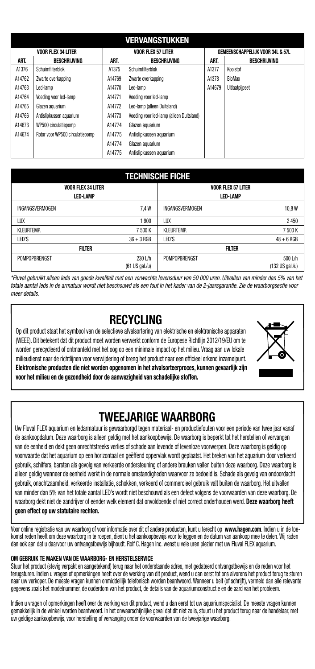|        | <b>VERVANGSTUKKEN</b>           |        |                                          |        |                                  |  |  |
|--------|---------------------------------|--------|------------------------------------------|--------|----------------------------------|--|--|
|        | <b>VOOR FLEX 34 LITER</b>       |        | <b>VOOR FLEX 57 LITER</b>                |        | GEMEENSCHAPPELIJK VOOR 34L & 57L |  |  |
| ART.   | <b>BESCHRIJVING</b>             | ART.   | <b>BESCHRIJVING</b>                      | ART.   | <b>BESCHRIJVING</b>              |  |  |
| A1376  | Schuimfilterblok                | A1375  | Schuimfilterblok                         | A1377  | Koolstof                         |  |  |
| A14762 | Zwarte overkapping              | A14769 | Zwarte overkapping                       | A1378  | BioMax                           |  |  |
| A14763 | Led-lamp                        | A14770 | Led-lamp                                 | A14679 | Uitlaatpijpset                   |  |  |
| A14764 | Voeding voor led-lamp           | A14771 | Voeding voor led-lamp                    |        |                                  |  |  |
| A14765 | Glazen aguarium                 | A14772 | Led-lamp (alleen Duitsland)              |        |                                  |  |  |
| A14766 | Antislipkussen aguarium         | A14773 | Voeding voor led-lamp (alleen Duitsland) |        |                                  |  |  |
| A14673 | WP500 circulatiepomp            | A14774 | Glazen aquarium                          |        |                                  |  |  |
| A14674 | Rotor voor WP500 circulatiepomp | A14775 | Antislipkussen aguarium                  |        |                                  |  |  |
|        |                                 | A14774 | Glazen aguarium                          |        |                                  |  |  |
|        |                                 | A14775 | Antislipkussen aguarium                  |        |                                  |  |  |

### **TECHNISCHE FICHE**

| <b>VOOR FLEX 34 LITER</b> |                |                   | VOOR FLEX 57 LITER |
|---------------------------|----------------|-------------------|--------------------|
| <b>LED-LAMP</b>           |                |                   | <b>LED-LAMP</b>    |
| INGANGSVERMOGEN           | 7.4W           | INGANGSVERMOGEN   | 10,8W              |
| LUX                       | 1900           | LUX               | 2450               |
| <b>KLEURTEMP.</b>         | 7 500 K        | <b>KLEURTEMP.</b> | 7 500 K            |
| LED'S                     | $36 + 3$ RGB   | LED'S             | $48 + 6$ RGB       |
| <b>FILTER</b>             |                |                   | <b>FILTER</b>      |
| POMPOPBRENGST             | 230 L/h        | POMPOPBRENGST     | 500 L/h            |
|                           | (61 US gal./u) |                   | (132 US gal./u)    |

*\*Fluval gebruikt alleen leds van goede kwaliteit met een verwachte levensduur van 50 000 uren. Uitvallen van minder dan 5% van het totale aantal leds in de armatuur wordt niet beschouwd als een fout in het kader van de 2-jaarsgarantie. Zie de waarborgsectie voor meer details.*

### **RECYCLING**

Op dit product staat het symbool van de selectieve afvalsortering van elektrische en elektronische apparaten (WEEE). Dit betekent dat dit product moet worden verwerkt conform de Europese Richtlijn 2012/19/EU om te worden gerecycleerd of ontmanteld met het oog op een minimale impact op het milieu. Vraag aan uw lokale milieudienst naar de richtlijnen voor verwijdering of breng het product naar een officieel erkend inzamelpunt. **Elektronische producten die niet worden opgenomen in het afvalsorteerproces, kunnen gevaarlijk zijn voor het milieu en de gezondheid door de aanwezigheid van schadelijke stoffen.**



### **TWEEJARIGE WAARBORG**

Uw Fluval FLEX aquarium en ledarmatuur is gewaarborgd tegen materiaal- en productiefouten voor een periode van twee jaar vanaf de aankoopdatum. Deze waarborg is alleen geldig met het aankoopbewijs. De waarborg is beperkt tot het herstellen of vervangen van de eenheid en dekt geen onrechtstreeks verlies of schade aan levende of levenloze voorwerpen. Deze waarborg is geldig op voorwaarde dat het aquarium op een horizontaal en geëffend oppervlak wordt geplaatst. Het breken van het aquarium door verkeerd gebruik, schilfers, barsten als gevolg van verkeerde ondersteuning of andere breuken vallen buiten deze waarborg. Deze waarborg is alleen geldig wanneer de eenheid werkt in de normale omstandigheden waarvoor ze bedoeld is. Schade als gevolg van ondoordacht gebruik, onachtzaamheid, verkeerde installatie, schokken, verkeerd of commercieel gebruik valt buiten de waarborg. Het uitvallen van minder dan 5% van het totale aantal LED's wordt niet beschouwd als een defect volgens de voorwaarden van deze waarborg. De waarborg dekt niet de aandrijver of eender welk element dat onvoldoende of niet correct onderhouden werd. **Deze waarborg heeft geen effect op uw statutaire rechten.**

Voor online registratie van uw waarborg of voor informatie over dit of andere producten, kunt u terecht op **www.hagen.com**. Indien u in de toekomst reden heeft om deze waarborg in te roepen, dient u het aankoopbewijs voor te leggen en de datum van aankoop mee te delen. Wij raden dan ook aan dat u daarvoor uw ontvangstbewijs bijhoudt. Rolf C. Hagen Inc. wenst u vele uren plezier met uw Fluval FLEX aquarium.

### **OM GEBRUIK TE MAKEN VAN DE WAARBORG- EN HERSTELSERVICE**

Stuur het product (stevig verpakt en aangetekend) terug naar het onderstaande adres, met gedateerd ontvangstbewijs en de reden voor het terugsturen. Indien u vragen of opmerkingen heeft over de werking van dit product, wend u dan eerst tot ons alvorens het product terug te sturen naar uw verkoper. De meeste vragen kunnen onmiddellijk telefonisch worden beantwoord. Wanneer u belt (of schrijft), vermeld dan alle relevante gegevens zoals het modelnummer, de ouderdom van het product, de details van de aquariumconstructie en de aard van het probleem.

Indien u vragen of opmerkingen heeft over de werking van dit product, wend u dan eerst tot uw aquariumspecialist. De meeste vragen kunnen gemakkelijk in de winkel worden beantwoord. In het onwaarschijnlijke geval dat dit niet zo is, stuurt u het product terug naar de handelaar, met uw geldige aankoopbewijs, voor herstelling of vervanging onder de voorwaarden van de tweejarige waarborg.